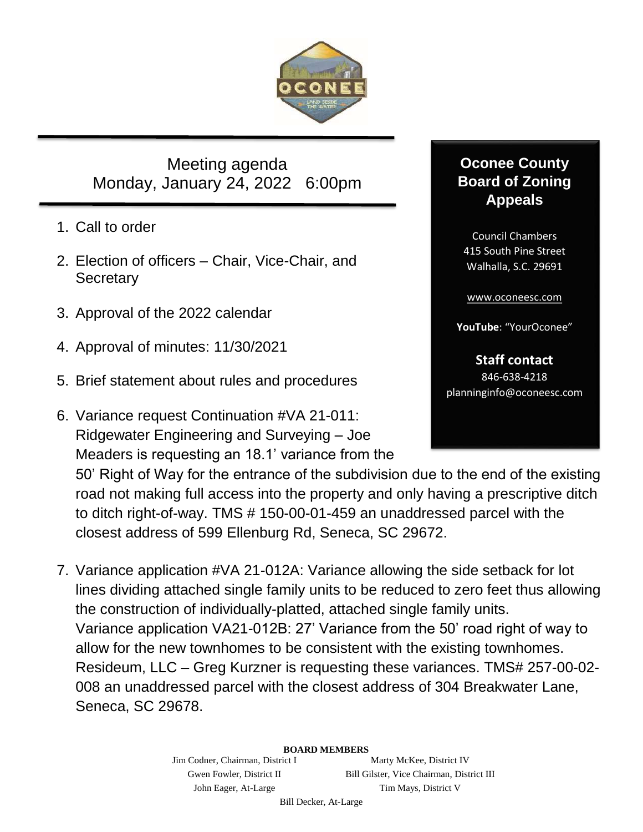

Meeting agenda Monday, January 24, 2022 6:00pm

- 1. Call to order
- 2. Election of officers Chair, Vice-Chair, and **Secretary**
- 3. Approval of the 2022 calendar
- 4. Approval of minutes: 11/30/2021
- 5. Brief statement about rules and procedures
- 6. Variance request Continuation #VA 21-011: Ridgewater Engineering and Surveying – Joe Meaders is requesting an 18.1' variance from the

## **Oconee County Board of Zoning Appeals**

Council Chambers 415 South Pine Street Walhalla, S.C. 29691

[www.oconeesc.com](http://www.oconeesc.com/)

**YouTube**: "YourOconee"

**Staff contact** 846-638-4218 planninginfo@oconeesc.com

50' Right of Way for the entrance of the subdivision due to the end of the existing road not making full access into the property and only having a prescriptive ditch to ditch right-of-way. TMS # 150-00-01-459 an unaddressed parcel with the closest address of 599 Ellenburg Rd, Seneca, SC 29672.

7. Variance application #VA 21-012A: Variance allowing the side setback for lot lines dividing attached single family units to be reduced to zero feet thus allowing the construction of individually-platted, attached single family units. Variance application VA21-012B: 27' Variance from the 50' road right of way to allow for the new townhomes to be consistent with the existing townhomes. Resideum, LLC – Greg Kurzner is requesting these variances. TMS# 257-00-02- 008 an unaddressed parcel with the closest address of 304 Breakwater Lane, Seneca, SC 29678.

## **BOARD MEMBERS**

Jim Codner, Chairman, District I Marty McKee, District IV Gwen Fowler, District II Bill Gilster, Vice Chairman, District III John Eager, At-Large Tim Mays, District V

Bill Decker, At-Large